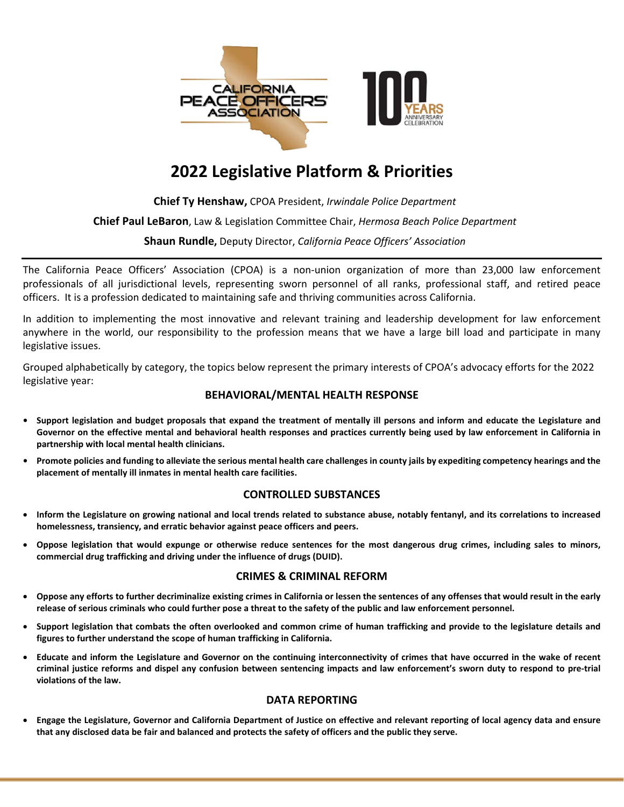

# **2022 Legislative Platform & Priorities**

# **Chief Ty Henshaw,** CPOA President, *Irwindale Police Department*

# **Chief Paul LeBaron**, Law & Legislation Committee Chair, *Hermosa Beach Police Department*

# **Shaun Rundle,** Deputy Director, *California Peace Officers' Association*

The California Peace Officers' Association (CPOA) is a non-union organization of more than 23,000 law enforcement professionals of all jurisdictional levels, representing sworn personnel of all ranks, professional staff, and retired peace officers. It is a profession dedicated to maintaining safe and thriving communities across California.

In addition to implementing the most innovative and relevant training and leadership development for law enforcement anywhere in the world, our responsibility to the profession means that we have a large bill load and participate in many legislative issues.

Grouped alphabetically by category, the topics below represent the primary interests of CPOA's advocacy efforts for the 2022 legislative year:

## **BEHAVIORAL/MENTAL HEALTH RESPONSE**

- **• Support legislation and budget proposals that expand the treatment of mentally ill persons and inform and educate the Legislature and Governor on the effective mental and behavioral health responses and practices currently being used by law enforcement in California in partnership with local mental health clinicians.**
- **• Promote policies and funding to alleviate the serious mental health care challenges in county jails by expediting competency hearings and the placement of mentally ill inmates in mental health care facilities.**

#### **CONTROLLED SUBSTANCES**

- **Inform the Legislature on growing national and local trends related to substance abuse, notably fentanyl, and its correlations to increased homelessness, transiency, and erratic behavior against peace officers and peers.**
- **Oppose legislation that would expunge or otherwise reduce sentences for the most dangerous drug crimes, including sales to minors, commercial drug trafficking and driving under the influence of drugs (DUID).**

#### **CRIMES & CRIMINAL REFORM**

- **Oppose any efforts to further decriminalize existing crimes in California or lessen the sentences of any offenses that would result in the early release of serious criminals who could further pose a threat to the safety of the public and law enforcement personnel.**
- **Support legislation that combats the often overlooked and common crime of human trafficking and provide to the legislature details and figures to further understand the scope of human trafficking in California.**
- **Educate and inform the Legislature and Governor on the continuing interconnectivity of crimes that have occurred in the wake of recent criminal justice reforms and dispel any confusion between sentencing impacts and law enforcement's sworn duty to respond to pre-trial violations of the law.**

## **DATA REPORTING**

• **Engage the Legislature, Governor and California Department of Justice on effective and relevant reporting of local agency data and ensure that any disclosed data be fair and balanced and protects the safety of officers and the public they serve.**